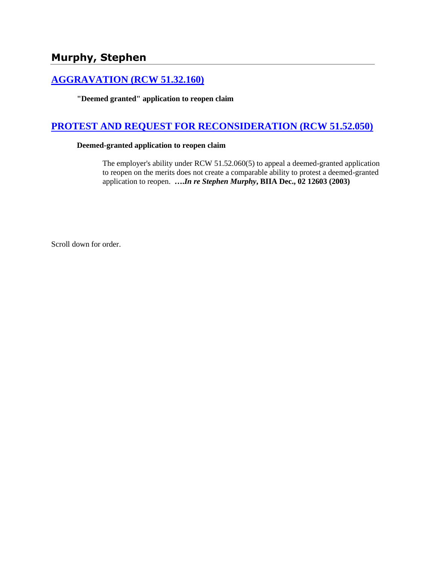# **Murphy, Stephen**

## **[AGGRAVATION \(RCW 51.32.160\)](http://www.biia.wa.gov/SDSubjectIndex.html#AGGRAVATION)**

**"Deemed granted" application to reopen claim**

### **[PROTEST AND REQUEST FOR RECONSIDERATION \(RCW 51.52.050\)](http://www.biia.wa.gov/SDSubjectIndex.html#PROTEST_AND_REQUEST_FOR_RECONSIDERATION)**

#### **Deemed-granted application to reopen claim**

The employer's ability under RCW 51.52.060(5) to appeal a deemed-granted application to reopen on the merits does not create a comparable ability to protest a deemed-granted application to reopen. **….***In re Stephen Murphy***, BIIA Dec., 02 12603 (2003)** 

Scroll down for order.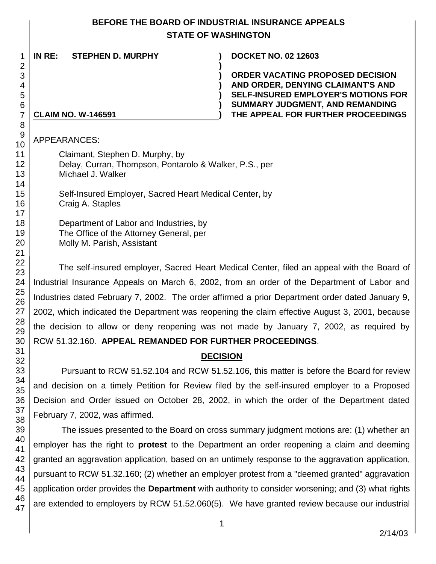#### **BEFORE THE BOARD OF INDUSTRIAL INSURANCE APPEALS STATE OF WASHINGTON**

**)**

**IN RE: STEPHEN D. MURPHY ) DOCKET NO. 02 12603**

**) ORDER VACATING PROPOSED DECISION ) AND ORDER, DENYING CLAIMANT'S AND ) SELF-INSURED EMPLOYER'S MOTIONS FOR ) SUMMARY JUDGMENT, AND REMANDING CLAIM NO. W-146591 ) THE APPEAL FOR FURTHER PROCEEDINGS**

APPEARANCES:

41

43 44

46 47 Claimant, Stephen D. Murphy, by Delay, Curran, Thompson, Pontarolo & Walker, P.S., per Michael J. Walker

Self-Insured Employer, Sacred Heart Medical Center, by Craig A. Staples

Department of Labor and Industries, by The Office of the Attorney General, per Molly M. Parish, Assistant

The self-insured employer, Sacred Heart Medical Center, filed an appeal with the Board of Industrial Insurance Appeals on March 6, 2002, from an order of the Department of Labor and Industries dated February 7, 2002. The order affirmed a prior Department order dated January 9, 2002, which indicated the Department was reopening the claim effective August 3, 2001, because the decision to allow or deny reopening was not made by January 7, 2002, as required by RCW 51.32.160. **APPEAL REMANDED FOR FURTHER PROCEEDINGS**.

# **DECISION**

Pursuant to RCW 51.52.104 and RCW 51.52.106, this matter is before the Board for review and decision on a timely Petition for Review filed by the self-insured employer to a Proposed Decision and Order issued on October 28, 2002, in which the order of the Department dated February 7, 2002, was affirmed.

39 40 42 45 The issues presented to the Board on cross summary judgment motions are: (1) whether an employer has the right to **protest** to the Department an order reopening a claim and deeming granted an aggravation application, based on an untimely response to the aggravation application, pursuant to RCW 51.32.160; (2) whether an employer protest from a "deemed granted" aggravation application order provides the **Department** with authority to consider worsening; and (3) what rights are extended to employers by RCW 51.52.060(5). We have granted review because our industrial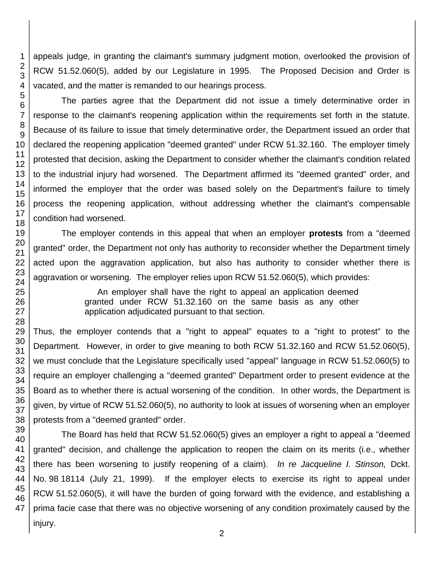appeals judge, in granting the claimant's summary judgment motion, overlooked the provision of RCW 51.52.060(5), added by our Legislature in 1995. The Proposed Decision and Order is vacated, and the matter is remanded to our hearings process.

The parties agree that the Department did not issue a timely determinative order in response to the claimant's reopening application within the requirements set forth in the statute. Because of its failure to issue that timely determinative order, the Department issued an order that declared the reopening application "deemed granted" under RCW 51.32.160. The employer timely protested that decision, asking the Department to consider whether the claimant's condition related to the industrial injury had worsened. The Department affirmed its "deemed granted" order, and informed the employer that the order was based solely on the Department's failure to timely process the reopening application, without addressing whether the claimant's compensable condition had worsened.

The employer contends in this appeal that when an employer **protests** from a "deemed granted" order, the Department not only has authority to reconsider whether the Department timely acted upon the aggravation application, but also has authority to consider whether there is aggravation or worsening. The employer relies upon RCW 51.52.060(5), which provides:

> An employer shall have the right to appeal an application deemed granted under RCW 51.32.160 on the same basis as any other application adjudicated pursuant to that section.

Thus, the employer contends that a "right to appeal" equates to a "right to protest" to the Department. However, in order to give meaning to both RCW 51.32.160 and RCW 51.52.060(5), we must conclude that the Legislature specifically used "appeal" language in RCW 51.52.060(5) to require an employer challenging a "deemed granted" Department order to present evidence at the Board as to whether there is actual worsening of the condition. In other words, the Department is given, by virtue of RCW 51.52.060(5), no authority to look at issues of worsening when an employer protests from a "deemed granted" order.

The Board has held that RCW 51.52.060(5) gives an employer a right to appeal a "deemed granted" decision, and challenge the application to reopen the claim on its merits (i.e., whether there has been worsening to justify reopening of a claim). *In re Jacqueline I. Stinson,* Dckt. No. 98 18114 (July 21, 1999). If the employer elects to exercise its right to appeal under RCW 51.52.060(5), it will have the burden of going forward with the evidence, and establishing a prima facie case that there was no objective worsening of any condition proximately caused by the injury.